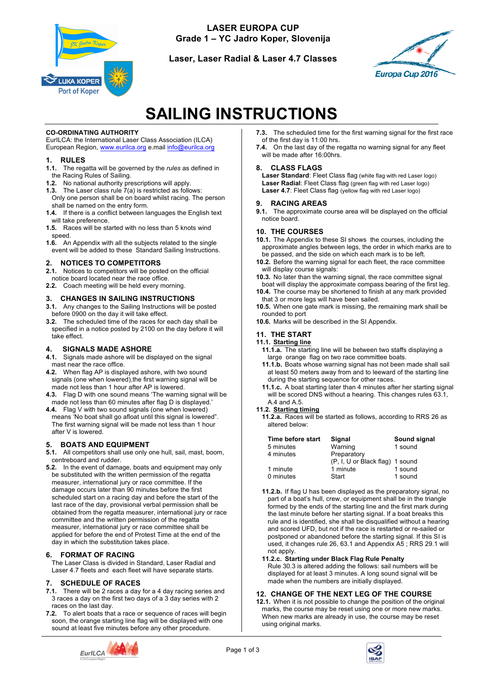

**LASER EUROPA CUP Grade 1 – YC Jadro Koper, Slovenija**

**Laser, Laser Radial & Laser 4.7 Classes**



# **SAILING INSTRUCTIONS**

#### **CO-ORDINATING AUTHORITY**

EurILCA: the International Laser Class Association (ILCA) European Region, www.eurilca.org e.mail info@eurilca.org

#### **1. RULES**

- **1.1.** The regatta will be governed by the *rules* as defined in the Racing Rules of Sailing.
- **1.2.** No national authority prescriptions will apply.
- **1.3.** The Laser class rule 7(a) is restricted as follows: Only one person shall be on board whilst racing. The person shall be named on the entry form.
- **1.4.** If there is a conflict between languages the English text will take preference.
- **1.5.** Races will be started with no less than 5 knots wind speed.
- **1.6.** An Appendix with all the subjects related to the single event will be added to these Standard Sailing Instructions.

# **2. NOTICES TO COMPETITORS**

- **2.1.** Notices to competitors will be posted on the official notice board located near the race office.
- **2.2.** Coach meeting will be held every morning.

# **3. CHANGES IN SAILING INSTRUCTIONS**

- **3.1.** Any changes to the Sailing Instructions will be posted before 0900 on the day it will take effect.
- **3.2.** The scheduled time of the races for each day shall be specified in a notice posted by 2100 on the day before it will take effect.

#### **4. SIGNALS MADE ASHORE**

- **4.1.** Signals made ashore will be displayed on the signal mast near the race office.
- **4.2.** When flag AP is displayed ashore, with two sound signals (one when lowered), the first warning signal will be made not less than 1 hour after AP is lowered.
- **4.3.** Flag D with one sound means 'The warning signal will be made not less than 60 minutes after flag D is displayed.'
- **4.4.** Flag V with two sound signals (one when lowered) means 'No boat shall go afloat until this signal is lowered". The first warning signal will be made not less than 1 hour after V is lowered.

#### **5. BOATS AND EQUIPMENT**

- **5.1.** All competitors shall use only one hull, sail, mast, boom, centreboard and rudder.
- **5.2.** In the event of damage, boats and equipment may only be substituted with the written permission of the regatta measurer, international jury or race committee. If the damage occurs later than 90 minutes before the first scheduled start on a racing day and before the start of the last race of the day, provisional verbal permission shall be obtained from the regatta measurer, international jury or race committee and the written permission of the regatta measurer, international jury or race committee shall be applied for before the end of Protest Time at the end of the day in which the substitution takes place.

#### **6. FORMAT OF RACING**

The Laser Class is divided in Standard, Laser Radial and Laser 4.7 fleets and each fleet will have separate starts.

#### **7. SCHEDULE OF RACES**

- **7.1.** There will be 2 races a day for a 4 day racing series and 3 races a day on the first two days of a 3 day series with 2 races on the last day.
- **7.2.** To alert boats that a race or sequence of races will begin soon, the orange starting line flag will be displayed with one sound at least five minutes before any other procedure.



**7.4.** On the last day of the regatta no warning signal for any fleet will be made after 16:00hrs.

#### **8. CLASS FLAGS**

**Laser Standard**: Fleet Class flag (white flag with red Laser logo) **Laser Radial**: Fleet Class flag (green flag with red Laser logo) Laser 4.7: Fleet Class flag (yellow flag with red Laser logo)

#### **9. RACING AREAS**

**9.1.** The approximate course area will be displayed on the official notice board.

#### **10. THE COURSES**

- **10.1.** The Appendix to these SI shows the courses, including the approximate angles between legs, the order in which marks are to be passed, and the side on which each mark is to be left.
- **10.2.** Before the warning signal for each fleet, the race committee will display course signals:
- **10.3.** No later than the warning signal, the race committee signal boat will display the approximate compass bearing of the first leg.
- **10.4.** The course may be shortened to finish at any mark provided that 3 or more legs will have been sailed.
- **10.5.** When one gate mark is missing, the remaining mark shall be rounded to port
- **10.6.** Marks will be described in the SI Appendix.

#### **11. THE START**

#### **11.1. Starting line**

- **11.1.a.** The starting line will be between two staffs displaying a large orange flag on two race committee boats.
- **11.1.b.** Boats whose warning signal has not been made shall sail at least 50 meters away from and to leeward of the starting line during the starting sequence for other races.
- **11.1.c.** A boat starting later than 4 minutes after her starting signal will be scored DNS without a hearing. This changes rules 63.1, A.4 and A.5.

#### **11.2. Starting timing**

**11.2.a.** Races will be started as follows, according to RRS 26 as altered below:

| Time before start | Signal                          | Sound signal |
|-------------------|---------------------------------|--------------|
| 5 minutes         | Warning                         | 1 sound      |
| 4 minutes         | Preparatory                     |              |
|                   | (P, I, U or Black flag) 1 sound |              |
| 1 minute          | 1 minute                        | 1 sound      |
| 0 minutes         | Start                           | 1 sound      |

**11.2.b.** If flag U has been displayed as the preparatory signal, no part of a boat's hull, crew, or equipment shall be in the triangle formed by the ends of the starting line and the first mark during the last minute before her starting signal. If a boat breaks this rule and is identified, she shall be disqualified without a hearing and scored UFD, but not if the race is restarted or re-sailed or postponed or abandoned before the starting signal. If this SI is used, it changes rule 26, 63.1 and Appendix A5 ; RRS 29.1 will not apply.

#### **11.2.c. Starting under Black Flag Rule Penalty**

Rule 30.3 is altered adding the follows: sail numbers will be displayed for at least 3 minutes. A long sound signal will be made when the numbers are initially displayed.

#### **12. CHANGE OF THE NEXT LEG OF THE COURSE**

**12.1.** When it is not possible to change the position of the original marks, the course may be reset using one or more new marks. When new marks are already in use, the course may be reset using original marks.



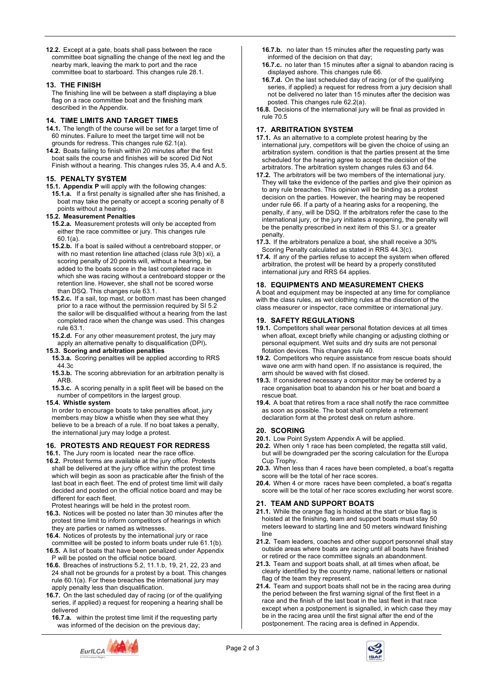**12.2.** Except at a gate, boats shall pass between the race committee boat signalling the change of the next leg and the nearby mark, leaving the mark to port and the race committee boat to starboard. This changes rule 28.1.

#### **13. THE FINISH**

The finishing line will be between a staff displaying a blue flag on a race committee boat and the finishing mark described in the Appendix.

## **14. TIME LIMITS AND TARGET TIMES**

- **14.1.** The length of the course will be set for a target time of 60 minutes. Failure to meet the target time will not be grounds for redress. This changes rule 62.1(a).
- **14.2.** Boats failing to finish within 20 minutes after the first boat sails the course and finishes will be scored Did Not Finish without a hearing. This changes rules 35, A.4 and A.5.

## **15. PENALTY SYSTEM**

**15.1. Appendix P** will apply with the following changes:

**15.1.a.** If a first penalty is signalled after she has finished, a boat may take the penalty or accept a scoring penalty of 8 points without a hearing.

## **15.2. Measurement Penalties**

- **15.2.a.** Measurement protests will only be accepted from either the race committee or jury. This changes rule 60.1(a).
- **15.2.b.** If a boat is sailed without a centreboard stopper, or with no mast retention line attached (class rule 3(b) xi), a scoring penalty of 20 points will, without a hearing, be added to the boats score in the last completed race in which she was racing without a centreboard stopper or the retention line. However, she shall not be scored worse than DSQ. This changes rule 63.1.
- **15.2.c.** If a sail, top mast, or bottom mast has been changed prior to a race without the permission required by SI 5.2 the sailor will be disqualified without a hearing from the last completed race when the change was used. This changes rule 63.1.
- **15.2.d.** For any other measurement protest, the jury may apply an alternative penalty to disqualification (DPI)**.**

#### **15.3. Scoring and arbitration penalties**

- **15.3.a.** Scoring penalties will be applied according to RRS 44.3c
- **15.3.b.** The scoring abbreviation for an arbitration penalty is ARB.

**15.3.c.** A scoring penalty in a split fleet will be based on the number of competitors in the largest group.

#### **15.4. Whistle system**

In order to encourage boats to take penalties afloat, jury members may blow a whistle when they see what they believe to be a breach of a rule. If no boat takes a penalty, the international jury may lodge a protest.

#### **16. PROTESTS AND REQUEST FOR REDRESS**

**16.1.** The Jury room is located near the race office.

**16.2.** Protest forms are available at the jury office. Protests shall be delivered at the jury office within the protest time which will begin as soon as practicable after the finish of the last boat in each fleet. The end of protest time limit will daily decided and posted on the official notice board and may be different for each fleet.

Protest hearings will be held in the protest room.

- **16.3.** Notices will be posted no later than 30 minutes after the protest time limit to inform competitors of hearings in which they are parties or named as witnesses.
- **16.4.** Notices of protests by the international jury or race committee will be posted to inform boats under rule 61.1(b).

**16.5.** A list of boats that have been penalized under Appendix P will be posted on the official notice board.

- **16.6.** Breaches of instructions 5.2, 11.1.b, 19, 21, 22, 23 and 24 shall not be grounds for a protest by a boat. This changes rule 60.1(a). For these breaches the international jury may apply penalty less than disqualification.
- **16.7.** On the last scheduled day of racing (or of the qualifying series, if applied) a request for reopening a hearing shall be delivered

**16.7.a.** within the protest time limit if the requesting party was informed of the decision on the previous day;

**16.7.b.** no later than 15 minutes after the requesting party was informed of the decision on that day;

- **16.7.c.** no later than 15 minutes after a signal to abandon racing is displayed ashore. This changes rule 66.
- **16.7.d.** On the last scheduled day of racing (or of the qualifying series, if applied) a request for redress from a jury decision shall not be delivered no later than 15 minutes after the decision was posted. This changes rule 62.2(a).

**16.8.** Decisions of the international jury will be final as provided in rule 70.5

## **17. ARBITRATION SYSTEM**

- **17.1.** As an alternative to a complete protest hearing by the international jury, competitors will be given the choice of using an arbitration system. condition is that the parties present at the time scheduled for the hearing agree to accept the decision of the arbitrators. The arbitration system changes rules 63 and 64.
- **17.2.** The arbitrators will be two members of the international jury. They will take the evidence of the parties and give their opinion as to any rule breaches. This opinion will be binding as a protest decision on the parties. However, the hearing may be reopened under rule 66. If a party of a hearing asks for a reopening, the penalty, if any, will be DSQ. If the arbitrators refer the case to the international jury, or the jury initiates a reopening, the penalty will be the penalty prescribed in next item of this S.I. or a greater penalty.
- **17.3.** If the arbitrators penalize a boat, she shall receive a 30% Scoring Penalty calculated as stated in RRS 44.3(c).
- **17.4.** If any of the parties refuse to accept the system when offered arbitration, the protest will be heard by a properly constituted international jury and RRS 64 applies.

## **18. EQUIPMENTS AND MEASUREMENT CHEKS**

A boat and equipment may be inspected at any time for compliance with the class rules, as wet clothing rules at the discretion of the class measurer or inspector, race committee or international jury.

## **19. SAFETY REGULATIONS**

- **19.1.** Competitors shall wear personal flotation devices at all times when afloat, except briefly while changing or adjusting clothing or personal equipment. Wet suits and dry suits are not personal flotation devices. This changes rule 40.
- **19.2.** Competitors who require assistance from rescue boats should wave one arm with hand open. If no assistance is required, the arm should be waved with fist closed.
- **19.3.** If considered necessary a competitor may be ordered by a race organisation boat to abandon his or her boat and board a rescue boat.
- **19.4.** A boat that retires from a race shall notify the race committee as soon as possible. The boat shall complete a retirement declaration form at the protest desk on return ashore.

#### **20. SCORING**

- **20.1.** Low Point System Appendix A will be applied.
- **20.2.** When only 1 race has been completed, the regatta still valid, but will be downgraded per the scoring calculation for the Europa Cup Trophy.
- **20.3.** When less than 4 races have been completed, a boat's regatta score will be the total of her race scores.
- **20.4.** When 4 or more races have been completed, a boat's regatta score will be the total of her race scores excluding her worst score.

# **21. TEAM AND SUPPORT BOATS**

- **21.1.** While the orange flag is hoisted at the start or blue flag is hoisted at the finishing, team and support boats must stay 50 meters leeward to starting line and 50 meters windward finishing line
- **21.2.** Team leaders, coaches and other support personnel shall stay outside areas where boats are racing until all boats have finished or retired or the race committee signals an abandonment.
- **21.3.** Team and support boats shall, at all times when afloat, be clearly identified by the country name, national letters or national flag of the team they represent.
- **21.4.** Team and support boats shall not be in the racing area during the period between the first warning signal of the first fleet in a race and the finish of the last boat in the last fleet in that race except when a postponement is signalled, in which case they may be in the racing area until the first signal after the end of the postponement. The racing area is defined in Appendix.